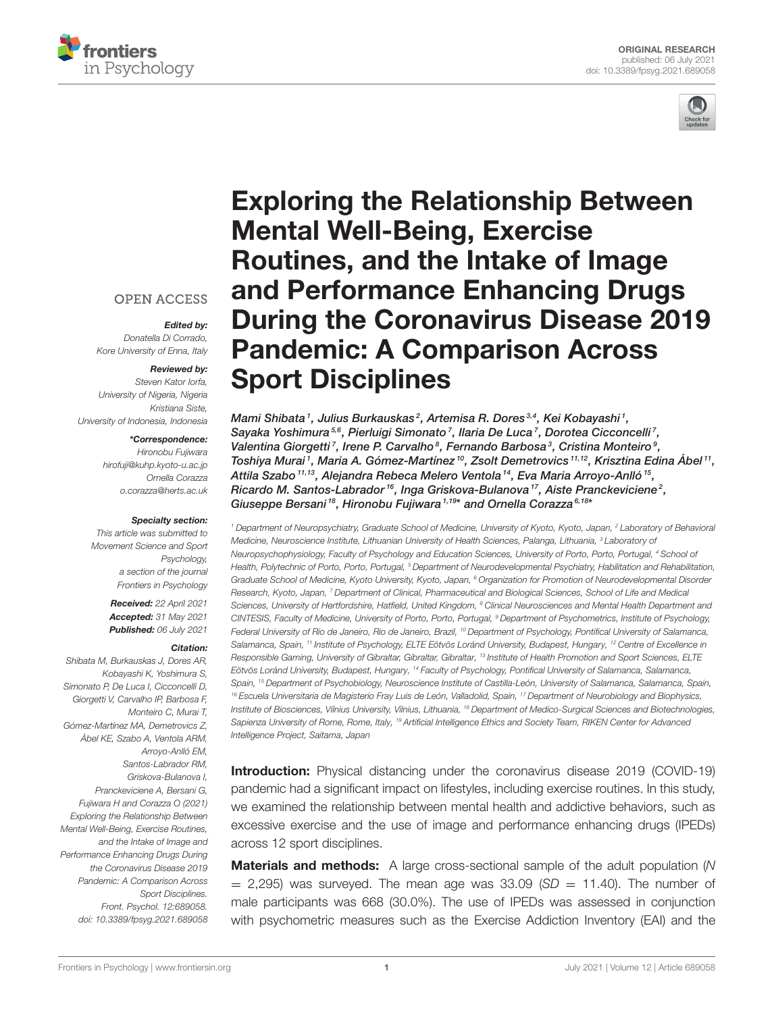



# **OPEN ACCESS**

Edited by: Donatella Di Corrado, Kore University of Enna, Italy

#### Reviewed by:

Steven Kator Iorfa, University of Nigeria, Nigeria Kristiana Siste, University of Indonesia, Indonesia

\*Correspondence:

Hironobu Fujiwara [hirofuji@kuhp.kyoto-u.ac.jp](mailto:hirofuji@kuhp.kyoto-u.ac.jp) Ornella Corazza [o.corazza@herts.ac.uk](mailto:o.corazza@herts.ac.uk)

#### Specialty section:

This article was submitted to Movement Science and Sport Psychology, a section of the journal Frontiers in Psychology

> Received: 22 April 2021 Accepted: 31 May 2021 Published: 06 July 2021

#### Citation:

Shibata M, Burkauskas J, Dores AR, Kobayashi K, Yoshimura S, Simonato P, De Luca I, Cicconcelli D, Giorgetti V, Carvalho IP, Barbosa F, Monteiro C, Murai T, Gómez-Martínez MA, Demetrovics Z, Ábel KE, Szabo A, Ventola ARM, Arroyo-Anlló EM, Santos-Labrador RM Griskova-Bulanova I, Pranckeviciene A, Bersani G, Fujiwara H and Corazza O (2021) Exploring the Relationship Between Mental Well-Being, Exercise Routines, and the Intake of Image and Performance Enhancing Drugs During the Coronavirus Disease 2019 Pandemic: A Comparison Across Sport Disciplines. Front. Psychol. 12:689058. doi: [10.3389/fpsyg.2021.689058](https://doi.org/10.3389/fpsyg.2021.689058) Exploring the Relationship Between Mental Well-Being, Exercise Routines, and the Intake of Image and Performance Enhancing Drugs [During the Coronavirus Disease 2019](https://www.frontiersin.org/articles/10.3389/fpsyg.2021.689058/full) Pandemic: A Comparison Across Sport Disciplines

Mami Shibata<sup>1</sup>, Julius Burkauskas<sup>2</sup>, Artemisa R. Dores<sup>3,4</sup>, Kei Kobayashi<sup>1</sup>, Sayaka Yoshimura<sup>5,6</sup>, Pierluigi Simonato<sup>7</sup>, Ilaria De Luca<sup>7</sup>, Dorotea Cicconcelli<sup>7</sup>, Valentina Giorgetti<sup>7</sup>, Irene P. Carvalho<sup>8</sup>, Fernando Barbosa<sup>3</sup>, Cristina Monteiro<sup>9</sup>, Toshiya Murai<sup>1</sup>, Maria A. Gómez-Martínez<sup>10</sup>, Zsolt Demetrovics<sup>11,12</sup>, Krisztina Edina Abel<sup>11</sup>, Attila Szabo<sup>11,13</sup>, Alejandra Rebeca Melero Ventola<sup>14</sup>, Eva Maria Arroyo-Anlló<sup>15</sup>, Ricardo M. Santos-Labrador<sup>16</sup>, Inga Griskova-Bulanova<sup>17</sup>, Aiste Pranckeviciene<sup>2</sup>, Giuseppe Bersani<sup>18</sup>, Hironobu Fujiwara<sup>1,19\*</sup> and Ornella Corazza<sup>6,18\*</sup>

<sup>1</sup> Department of Neuropsychiatry, Graduate School of Medicine, University of Kyoto, Kyoto, Japan, <sup>2</sup> Laboratory of Behavioral Medicine, Neuroscience Institute, Lithuanian University of Health Sciences, Palanga, Lithuania, <sup>3</sup> Laboratory of Neuropsychophysiology, Faculty of Psychology and Education Sciences, University of Porto, Porto, Portugal, <sup>4</sup> School of Health, Polytechnic of Porto, Porto, Portugal, <sup>5</sup> Department of Neurodevelopmental Psychiatry, Habilitation and Rehabilitation, Graduate School of Medicine, Kyoto University, Kyoto, Japan, <sup>6</sup> Organization for Promotion of Neurodevelopmental Disorder Research, Kyoto, Japan, <sup>7</sup> Department of Clinical, Pharmaceutical and Biological Sciences, School of Life and Medical Sciences, University of Hertfordshire, Hatfield, United Kingdom, <sup>8</sup> Clinical Neurosciences and Mental Health Department and CINTESIS, Faculty of Medicine, University of Porto, Porto, Portugal, <sup>9</sup> Department of Psychometrics, Institute of Psychology, Federal University of Rio de Janeiro, Rio de Janeiro, Brazil, <sup>10</sup> Department of Psychology, Pontifical University of Salamanca, Salamanca, Spain, <sup>11</sup> Institute of Psychology, ELTE Eötvös Loránd University, Budapest, Hungary, <sup>12</sup> Centre of Excellence in Responsible Gaming, University of Gibraltar, Gibraltar, Gibraltar, 13 Institute of Health Promotion and Sport Sciences, ELTE Eötvös Loránd University, Budapest, Hungary, <sup>14</sup> Faculty of Psychology, Pontifical University of Salamanca, Salamanca, Spain, <sup>15</sup> Department of Psychobiology, Neuroscience Institute of Castilla-León, University of Salamanca, Salamanca, Spain, <sup>16</sup> Escuela Universitaria de Magisterio Fray Luis de León, Valladolid, Spain, <sup>17</sup> Department of Neurobiology and Biophysics, Institute of Biosciences, Vilnius University, Vilnius, Lithuania, <sup>18</sup> Department of Medico-Surgical Sciences and Biotechnologies, Sapienza University of Rome, Rome, Italy, <sup>19</sup> Artificial Intelligence Ethics and Society Team, RIKEN Center for Advanced Intelligence Project, Saitama, Japan

Introduction: Physical distancing under the coronavirus disease 2019 (COVID-19) pandemic had a significant impact on lifestyles, including exercise routines. In this study, we examined the relationship between mental health and addictive behaviors, such as excessive exercise and the use of image and performance enhancing drugs (IPEDs) across 12 sport disciplines.

**Materials and methods:** A large cross-sectional sample of the adult population (N)  $=$  2,295) was surveyed. The mean age was 33.09 (SD  $=$  11.40). The number of male participants was 668 (30.0%). The use of IPEDs was assessed in conjunction with psychometric measures such as the Exercise Addiction Inventory (EAI) and the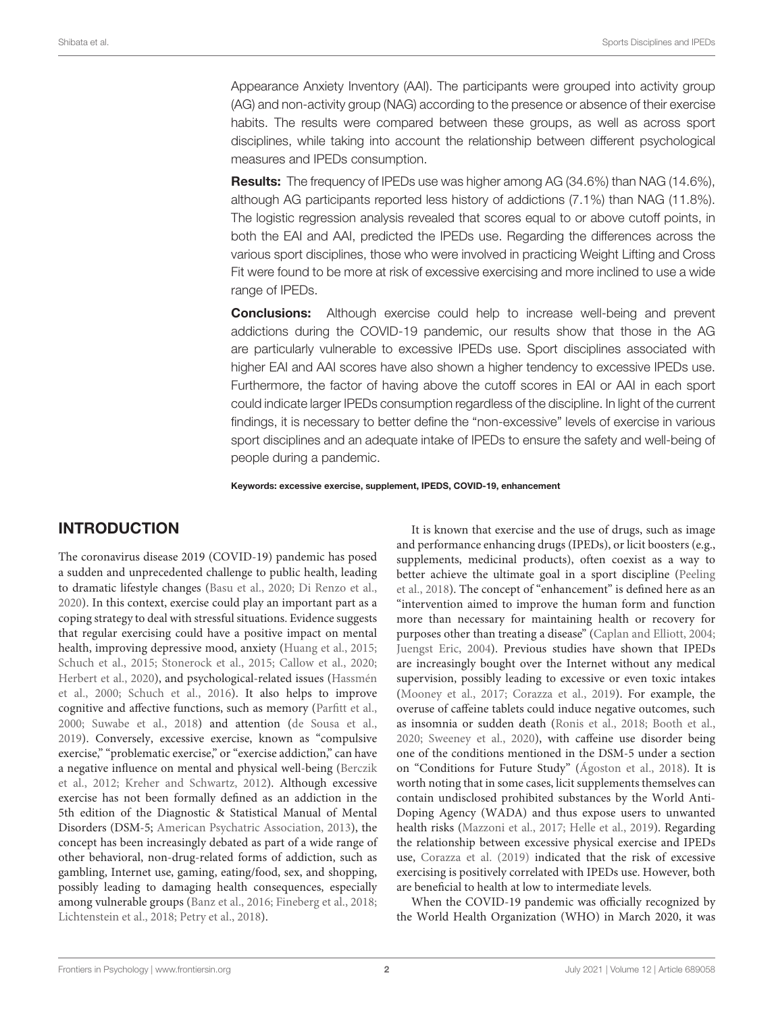Appearance Anxiety Inventory (AAI). The participants were grouped into activity group (AG) and non-activity group (NAG) according to the presence or absence of their exercise habits. The results were compared between these groups, as well as across sport disciplines, while taking into account the relationship between different psychological measures and IPEDs consumption.

**Results:** The frequency of IPEDs use was higher among AG (34.6%) than NAG (14.6%), although AG participants reported less history of addictions (7.1%) than NAG (11.8%). The logistic regression analysis revealed that scores equal to or above cutoff points, in both the EAI and AAI, predicted the IPEDs use. Regarding the differences across the various sport disciplines, those who were involved in practicing Weight Lifting and Cross Fit were found to be more at risk of excessive exercising and more inclined to use a wide range of IPEDs.

**Conclusions:** Although exercise could help to increase well-being and prevent addictions during the COVID-19 pandemic, our results show that those in the AG are particularly vulnerable to excessive IPEDs use. Sport disciplines associated with higher EAI and AAI scores have also shown a higher tendency to excessive IPEDs use. Furthermore, the factor of having above the cutoff scores in EAI or AAI in each sport could indicate larger IPEDs consumption regardless of the discipline. In light of the current findings, it is necessary to better define the "non-excessive" levels of exercise in various sport disciplines and an adequate intake of IPEDs to ensure the safety and well-being of people during a pandemic.

Keywords: excessive exercise, supplement, IPEDS, COVID-19, enhancement

# INTRODUCTION

The coronavirus disease 2019 (COVID-19) pandemic has posed a sudden and unprecedented challenge to public health, leading to dramatic lifestyle changes [\(Basu et al., 2020;](#page-7-0) [Di Renzo et al.,](#page-8-0) [2020\)](#page-8-0). In this context, exercise could play an important part as a coping strategy to deal with stressful situations. Evidence suggests that regular exercising could have a positive impact on mental health, improving depressive mood, anxiety [\(Huang et al., 2015;](#page-8-1) [Schuch et al., 2015;](#page-8-2) [Stonerock et al., 2015;](#page-8-3) [Callow et al., 2020;](#page-7-1) [Herbert et al., 2020\)](#page-8-4)[, and psychological-related issues \(](#page-8-5)Hassmén et al., [2000;](#page-8-5) [Schuch et al., 2016\)](#page-8-6). It also helps to improve cognitive and affective functions, such as memory [\(Parfitt et al.,](#page-8-7) [2000;](#page-8-7) [Suwabe et al., 2018\)](#page-8-8) and attention [\(de Sousa et al.,](#page-7-2) [2019\)](#page-7-2). Conversely, excessive exercise, known as "compulsive exercise," "problematic exercise," or "exercise addiction," can have a negative influence on mental and physical well-being (Berczik et al., [2012;](#page-7-3) [Kreher and Schwartz, 2012\)](#page-8-9). Although excessive exercise has not been formally defined as an addiction in the 5th edition of the Diagnostic & Statistical Manual of Mental Disorders (DSM-5; [American Psychatric Association, 2013\)](#page-7-4), the concept has been increasingly debated as part of a wide range of other behavioral, non-drug-related forms of addiction, such as gambling, Internet use, gaming, eating/food, sex, and shopping, possibly leading to damaging health consequences, especially among vulnerable groups [\(Banz et al., 2016;](#page-7-5) [Fineberg et al., 2018;](#page-8-10) [Lichtenstein et al., 2018;](#page-8-11) [Petry et al., 2018\)](#page-8-12).

It is known that exercise and the use of drugs, such as image and performance enhancing drugs (IPEDs), or licit boosters (e.g., supplements, medicinal products), often coexist as a way to better achieve the ultimate goal in a sport discipline (Peeling et al., [2018\)](#page-8-13). The concept of "enhancement" is defined here as an "intervention aimed to improve the human form and function more than necessary for maintaining health or recovery for purposes other than treating a disease" [\(Caplan and Elliott, 2004;](#page-7-6) [Juengst Eric, 2004\)](#page-8-14). Previous studies have shown that IPEDs are increasingly bought over the Internet without any medical supervision, possibly leading to excessive or even toxic intakes [\(Mooney et al., 2017;](#page-8-15) [Corazza et al., 2019\)](#page-7-7). For example, the overuse of caffeine tablets could induce negative outcomes, such as insomnia or sudden death [\(Ronis et al., 2018;](#page-8-16) [Booth et al.,](#page-7-8) [2020;](#page-7-8) [Sweeney et al., 2020\)](#page-8-17), with caffeine use disorder being one of the conditions mentioned in the DSM-5 under a section on "Conditions for Future Study" [\(Ágoston et al., 2018\)](#page-7-9). It is worth noting that in some cases, licit supplements themselves can contain undisclosed prohibited substances by the World Anti-Doping Agency (WADA) and thus expose users to unwanted health risks [\(Mazzoni et al., 2017;](#page-8-18) [Helle et al., 2019\)](#page-8-19). Regarding the relationship between excessive physical exercise and IPEDs use, [Corazza et al. \(2019\)](#page-7-7) indicated that the risk of excessive exercising is positively correlated with IPEDs use. However, both are beneficial to health at low to intermediate levels.

When the COVID-19 pandemic was officially recognized by the World Health Organization (WHO) in March 2020, it was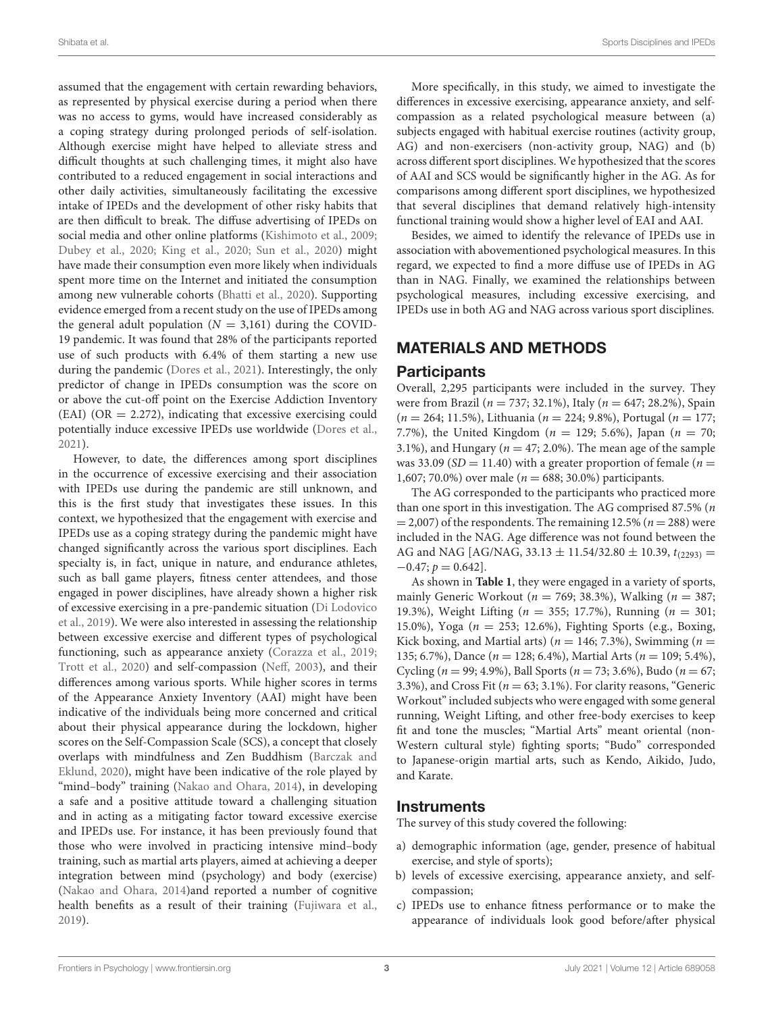assumed that the engagement with certain rewarding behaviors, as represented by physical exercise during a period when there was no access to gyms, would have increased considerably as a coping strategy during prolonged periods of self-isolation. Although exercise might have helped to alleviate stress and difficult thoughts at such challenging times, it might also have contributed to a reduced engagement in social interactions and other daily activities, simultaneously facilitating the excessive intake of IPEDs and the development of other risky habits that are then difficult to break. The diffuse advertising of IPEDs on social media and other online platforms [\(Kishimoto et al., 2009;](#page-8-20) [Dubey et al., 2020;](#page-8-21) [King et al., 2020;](#page-8-22) [Sun et al., 2020\)](#page-8-23) might have made their consumption even more likely when individuals spent more time on the Internet and initiated the consumption among new vulnerable cohorts [\(Bhatti et al., 2020\)](#page-7-10). Supporting evidence emerged from a recent study on the use of IPEDs among the general adult population ( $N = 3,161$ ) during the COVID-19 pandemic. It was found that 28% of the participants reported use of such products with 6.4% of them starting a new use during the pandemic [\(Dores et al., 2021\)](#page-8-24). Interestingly, the only predictor of change in IPEDs consumption was the score on or above the cut-off point on the Exercise Addiction Inventory  $(EAI) (OR = 2.272)$ , indicating that excessive exercising could potentially induce excessive IPEDs use worldwide [\(Dores et al.,](#page-8-24) [2021\)](#page-8-24).

However, to date, the differences among sport disciplines in the occurrence of excessive exercising and their association with IPEDs use during the pandemic are still unknown, and this is the first study that investigates these issues. In this context, we hypothesized that the engagement with exercise and IPEDs use as a coping strategy during the pandemic might have changed significantly across the various sport disciplines. Each specialty is, in fact, unique in nature, and endurance athletes, such as ball game players, fitness center attendees, and those engaged in power disciplines, have already shown a higher risk of excessive exercising in a pre-pandemic situation (Di Lodovico et al., [2019\)](#page-7-11). We were also interested in assessing the relationship between excessive exercise and different types of psychological functioning, such as appearance anxiety [\(Corazza et al., 2019;](#page-7-7) [Trott et al., 2020\)](#page-8-25) and self-compassion [\(Neff, 2003\)](#page-8-26), and their differences among various sports. While higher scores in terms of the Appearance Anxiety Inventory (AAI) might have been indicative of the individuals being more concerned and critical about their physical appearance during the lockdown, higher scores on the Self-Compassion Scale (SCS), a concept that closely overlaps with mindfulness and Zen Buddhism (Barczak and Eklund, [2020\)](#page-7-12), might have been indicative of the role played by "mind–body" training [\(Nakao and Ohara, 2014\)](#page-8-27), in developing a safe and a positive attitude toward a challenging situation and in acting as a mitigating factor toward excessive exercise and IPEDs use. For instance, it has been previously found that those who were involved in practicing intensive mind–body training, such as martial arts players, aimed at achieving a deeper integration between mind (psychology) and body (exercise) [\(Nakao and Ohara, 2014\)](#page-8-27)and reported a number of cognitive health benefits as a result of their training [\(Fujiwara et al.,](#page-8-28) [2019\)](#page-8-28).

More specifically, in this study, we aimed to investigate the differences in excessive exercising, appearance anxiety, and selfcompassion as a related psychological measure between (a) subjects engaged with habitual exercise routines (activity group, AG) and non-exercisers (non-activity group, NAG) and (b) across different sport disciplines. We hypothesized that the scores of AAI and SCS would be significantly higher in the AG. As for comparisons among different sport disciplines, we hypothesized that several disciplines that demand relatively high-intensity functional training would show a higher level of EAI and AAI.

Besides, we aimed to identify the relevance of IPEDs use in association with abovementioned psychological measures. In this regard, we expected to find a more diffuse use of IPEDs in AG than in NAG. Finally, we examined the relationships between psychological measures, including excessive exercising, and IPEDs use in both AG and NAG across various sport disciplines.

### MATERIALS AND METHODS

#### **Participants**

Overall, 2,295 participants were included in the survey. They were from Brazil ( $n = 737; 32.1\%$ ), Italy ( $n = 647; 28.2\%$ ), Spain  $(n = 264; 11.5\%)$ , Lithuania ( $n = 224; 9.8\%)$ , Portugal ( $n = 177;$ 7.7%), the United Kingdom ( $n = 129$ ; 5.6%), Japan ( $n = 70$ ; 3.1%), and Hungary ( $n = 47$ ; 2.0%). The mean age of the sample was 33.09 ( $SD = 11.40$ ) with a greater proportion of female ( $n =$ 1,607; 70.0%) over male ( $n = 688$ ; 30.0%) participants.

The AG corresponded to the participants who practiced more than one sport in this investigation. The AG comprised 87.5% (n  $= 2,007$ ) of the respondents. The remaining 12.5% ( $n = 288$ ) were included in the NAG. Age difference was not found between the AG and NAG [AG/NAG, 33.13  $\pm$  11.54/32.80  $\pm$  10.39,  $t_{(2293)} =$  $-0.47; p = 0.642$ .

As shown in **[Table 1](#page-3-0)**, they were engaged in a variety of sports, mainly Generic Workout ( $n = 769$ ; 38.3%), Walking ( $n = 387$ ; 19.3%), Weight Lifting (n = 355; 17.7%), Running (n = 301; 15.0%), Yoga (n = 253; 12.6%), Fighting Sports (e.g., Boxing, Kick boxing, and Martial arts) ( $n = 146$ ; 7.3%), Swimming ( $n =$ 135; 6.7%), Dance ( $n = 128$ ; 6.4%), Martial Arts ( $n = 109$ ; 5.4%), Cycling ( $n = 99$ ; 4.9%), Ball Sports ( $n = 73$ ; 3.6%), Budo ( $n = 67$ ; 3.3%), and Cross Fit ( $n = 63$ ; 3.1%). For clarity reasons, "Generic Workout" included subjects who were engaged with some general running, Weight Lifting, and other free-body exercises to keep fit and tone the muscles; "Martial Arts" meant oriental (non-Western cultural style) fighting sports; "Budo" corresponded to Japanese-origin martial arts, such as Kendo, Aikido, Judo, and Karate.

#### Instruments

The survey of this study covered the following:

- a) demographic information (age, gender, presence of habitual exercise, and style of sports);
- b) levels of excessive exercising, appearance anxiety, and selfcompassion;
- c) IPEDs use to enhance fitness performance or to make the appearance of individuals look good before/after physical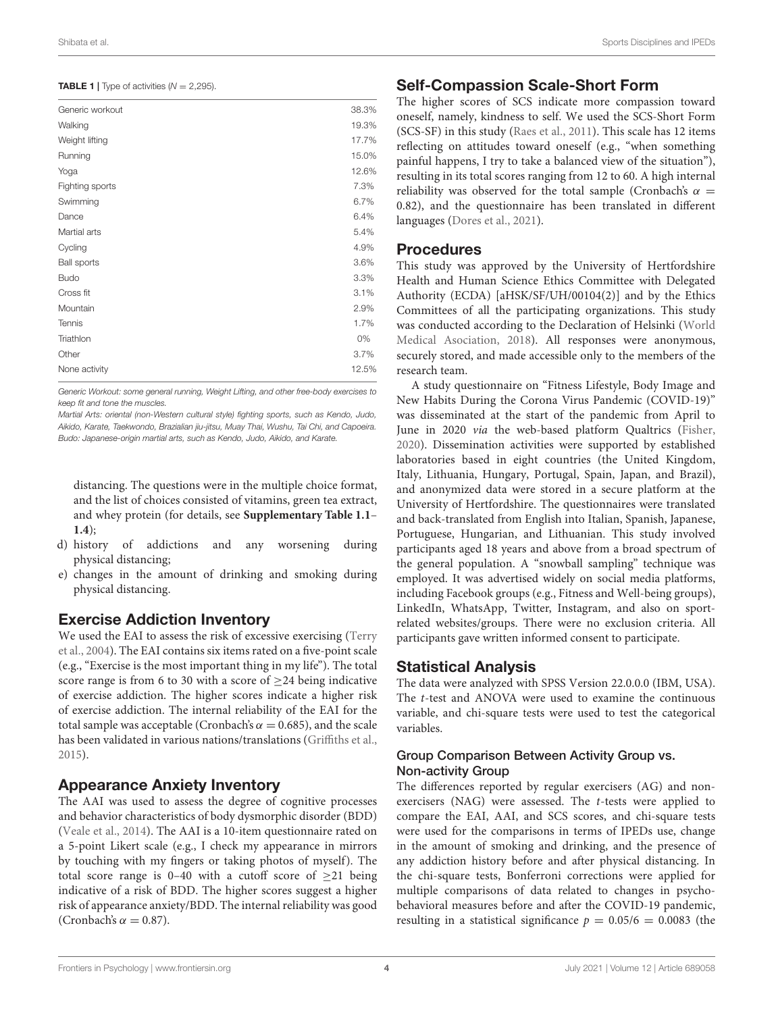<span id="page-3-0"></span>**TABLE 1** | Type of activities  $(N = 2,295)$ .

| Generic workout    | 38.3% |
|--------------------|-------|
| Walking            | 19.3% |
| Weight lifting     | 17.7% |
| Running            | 15.0% |
| Yoga               | 12.6% |
| Fighting sports    | 7.3%  |
| Swimming           | 6.7%  |
| Dance              | 6.4%  |
| Martial arts       | 5.4%  |
| Cycling            | 4.9%  |
| <b>Ball sports</b> | 3.6%  |
| <b>Budo</b>        | 3.3%  |
| Cross fit          | 3.1%  |
| Mountain           | 2.9%  |
| <b>Tennis</b>      | 1.7%  |
| Triathlon          | 0%    |
| Other              | 3.7%  |
| None activity      | 12.5% |
|                    |       |

Generic Workout: some general running, Weight Lifting, and other free-body exercises to keep fit and tone the muscles.

Martial Arts: oriental (non-Western cultural style) fighting sports, such as Kendo, Judo, Aikido, Karate, Taekwondo, Brazialian jiu-jitsu, Muay Thai, Wushu, Tai Chi, and Capoeira. Budo: Japanese-origin martial arts, such as Kendo, Judo, Aikido, and Karate.

distancing. The questions were in the multiple choice format, and the list of choices consisted of vitamins, green tea extract, and whey protein (for details, see **[Supplementary Table 1.1](#page-7-13)**– **[1.4](#page-7-13)**);

- d) history of addictions and any worsening during physical distancing;
- e) changes in the amount of drinking and smoking during physical distancing.

## Exercise Addiction Inventory

We used the EAI to assess the risk of excessive exercising (Terry et al., [2004\)](#page-8-29). The EAI contains six items rated on a five-point scale (e.g., "Exercise is the most important thing in my life"). The total score range is from 6 to 30 with a score of  $\geq$  24 being indicative of exercise addiction. The higher scores indicate a higher risk of exercise addiction. The internal reliability of the EAI for the total sample was acceptable (Cronbach's  $\alpha = 0.685$ ), and the scale has been validated in various nations/translations [\(Griffiths et al.,](#page-8-30) [2015\)](#page-8-30).

## Appearance Anxiety Inventory

The AAI was used to assess the degree of cognitive processes and behavior characteristics of body dysmorphic disorder (BDD) [\(Veale et al., 2014\)](#page-8-31). The AAI is a 10-item questionnaire rated on a 5-point Likert scale (e.g., I check my appearance in mirrors by touching with my fingers or taking photos of myself). The total score range is 0–40 with a cutoff score of  $\geq$ 21 being indicative of a risk of BDD. The higher scores suggest a higher risk of appearance anxiety/BDD. The internal reliability was good (Cronbach's  $\alpha = 0.87$ ).

### Self-Compassion Scale-Short Form

The higher scores of SCS indicate more compassion toward oneself, namely, kindness to self. We used the SCS-Short Form (SCS-SF) in this study [\(Raes et al., 2011\)](#page-8-32). This scale has 12 items reflecting on attitudes toward oneself (e.g., "when something painful happens, I try to take a balanced view of the situation"), resulting in its total scores ranging from 12 to 60. A high internal reliability was observed for the total sample (Cronbach's  $\alpha$  = 0.82), and the questionnaire has been translated in different languages [\(Dores et al., 2021\)](#page-8-24).

### Procedures

This study was approved by the University of Hertfordshire Health and Human Science Ethics Committee with Delegated Authority (ECDA) [aHSK/SF/UH/00104(2)] and by the Ethics Committees of all the participating organizations. This study was conducted according to the Declaration of Helsinki (World Medical Asociation, [2018\)](#page-9-0). All responses were anonymous, securely stored, and made accessible only to the members of the research team.

A study questionnaire on "Fitness Lifestyle, Body Image and New Habits During the Corona Virus Pandemic (COVID-19)" was disseminated at the start of the pandemic from April to June in 2020 via the web-based platform Qualtrics [\(Fisher,](#page-8-33) [2020\)](#page-8-33). Dissemination activities were supported by established laboratories based in eight countries (the United Kingdom, Italy, Lithuania, Hungary, Portugal, Spain, Japan, and Brazil), and anonymized data were stored in a secure platform at the University of Hertfordshire. The questionnaires were translated and back-translated from English into Italian, Spanish, Japanese, Portuguese, Hungarian, and Lithuanian. This study involved participants aged 18 years and above from a broad spectrum of the general population. A "snowball sampling" technique was employed. It was advertised widely on social media platforms, including Facebook groups (e.g., Fitness and Well-being groups), LinkedIn, WhatsApp, Twitter, Instagram, and also on sportrelated websites/groups. There were no exclusion criteria. All participants gave written informed consent to participate.

## Statistical Analysis

The data were analyzed with SPSS Version 22.0.0.0 (IBM, USA). The t-test and ANOVA were used to examine the continuous variable, and chi-square tests were used to test the categorical variables.

### Group Comparison Between Activity Group vs. Non-activity Group

The differences reported by regular exercisers (AG) and nonexercisers (NAG) were assessed. The t-tests were applied to compare the EAI, AAI, and SCS scores, and chi-square tests were used for the comparisons in terms of IPEDs use, change in the amount of smoking and drinking, and the presence of any addiction history before and after physical distancing. In the chi-square tests, Bonferroni corrections were applied for multiple comparisons of data related to changes in psychobehavioral measures before and after the COVID-19 pandemic, resulting in a statistical significance  $p = 0.05/6 = 0.0083$  (the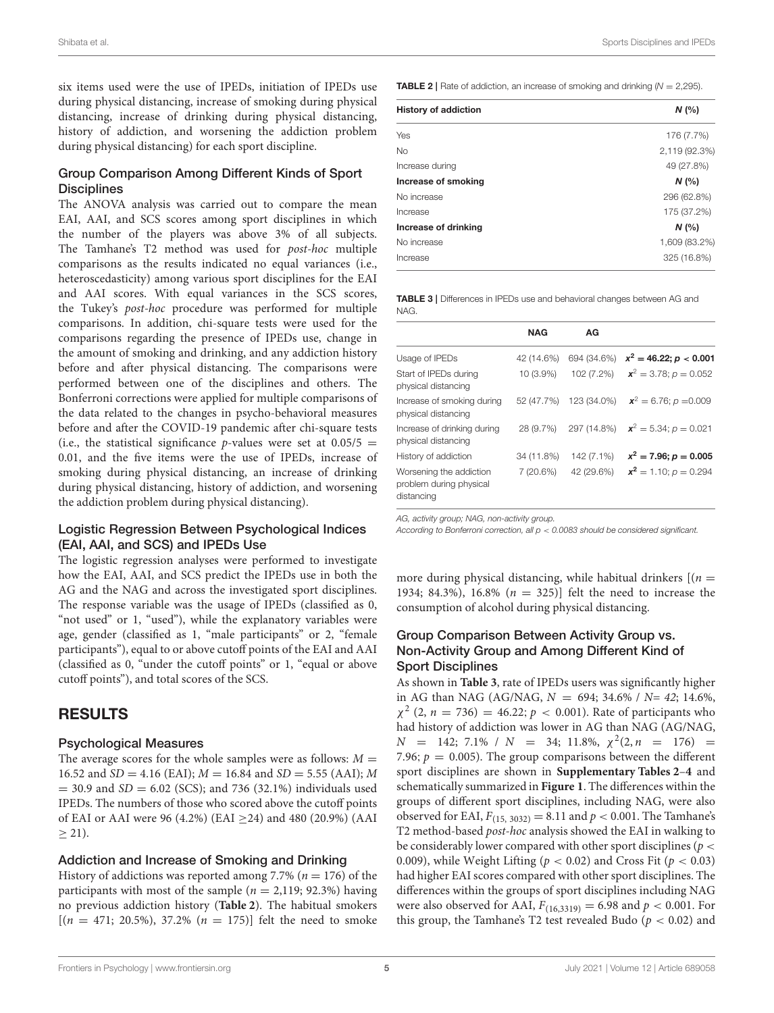six items used were the use of IPEDs, initiation of IPEDs use during physical distancing, increase of smoking during physical distancing, increase of drinking during physical distancing, history of addiction, and worsening the addiction problem during physical distancing) for each sport discipline.

#### Group Comparison Among Different Kinds of Sport **Disciplines**

The ANOVA analysis was carried out to compare the mean EAI, AAI, and SCS scores among sport disciplines in which the number of the players was above 3% of all subjects. The Tamhane's T2 method was used for post-hoc multiple comparisons as the results indicated no equal variances (i.e., heteroscedasticity) among various sport disciplines for the EAI and AAI scores. With equal variances in the SCS scores, the Tukey's post-hoc procedure was performed for multiple comparisons. In addition, chi-square tests were used for the comparisons regarding the presence of IPEDs use, change in the amount of smoking and drinking, and any addiction history before and after physical distancing. The comparisons were performed between one of the disciplines and others. The Bonferroni corrections were applied for multiple comparisons of the data related to the changes in psycho-behavioral measures before and after the COVID-19 pandemic after chi-square tests (i.e., the statistical significance p-values were set at  $0.05/5 =$ 0.01, and the five items were the use of IPEDs, increase of smoking during physical distancing, an increase of drinking during physical distancing, history of addiction, and worsening the addiction problem during physical distancing).

#### Logistic Regression Between Psychological Indices (EAI, AAI, and SCS) and IPEDs Use

The logistic regression analyses were performed to investigate how the EAI, AAI, and SCS predict the IPEDs use in both the AG and the NAG and across the investigated sport disciplines. The response variable was the usage of IPEDs (classified as 0, "not used" or 1, "used"), while the explanatory variables were age, gender (classified as 1, "male participants" or 2, "female participants"), equal to or above cutoff points of the EAI and AAI (classified as 0, "under the cutoff points" or 1, "equal or above cutoff points"), and total scores of the SCS.

## RESULTS

#### Psychological Measures

The average scores for the whole samples were as follows:  $M =$ 16.52 and  $SD = 4.16$  (EAI);  $M = 16.84$  and  $SD = 5.55$  (AAI); M  $= 30.9$  and  $SD = 6.02$  (SCS); and 736 (32.1%) individuals used IPEDs. The numbers of those who scored above the cutoff points of EAI or AAI were 96 (4.2%) (EAI  $\geq$ 24) and 480 (20.9%) (AAI  $\geq$  21).

#### Addiction and Increase of Smoking and Drinking

History of addictions was reported among 7.7% ( $n = 176$ ) of the participants with most of the sample ( $n = 2,119; 92.3\%$ ) having no previous addiction history (**[Table 2](#page-4-0)**). The habitual smokers  $[(n = 471; 20.5\%), 37.2\% (n = 175)]$  felt the need to smoke <span id="page-4-0"></span>**TABLE 2** | Rate of addiction, an increase of smoking and drinking  $(N = 2,295)$ .

| <b>History of addiction</b> | N(%           |
|-----------------------------|---------------|
| Yes                         | 176 (7.7%)    |
| <b>No</b>                   | 2,119 (92.3%) |
| Increase during             | 49 (27.8%)    |
| Increase of smoking         | N(%           |
| No increase                 | 296 (62.8%)   |
| Increase                    | 175 (37.2%)   |
| Increase of drinking        | N(%           |
| No increase                 | 1,609 (83.2%) |
| Increase                    | 325 (16.8%)   |

<span id="page-4-1"></span>TABLE 3 | Differences in IPEDs use and behavioral changes between AG and NAG.

|                                                                  | <b>NAG</b>  | ΑG          |                                                 |
|------------------------------------------------------------------|-------------|-------------|-------------------------------------------------|
| Usage of IPEDs                                                   | 42 (14.6%)  | 694 (34.6%) | $x^2 = 46.22$ ; $p < 0.001$                     |
| Start of IPEDs during<br>physical distancing                     | $10(3.9\%)$ | 102 (7.2%)  | $x^2 = 3.78$ ; $p = 0.052$                      |
| Increase of smoking during<br>physical distancing                | 52 (47.7%)  | 123 (34.0%) | $x^2 = 6.76$ ; $p = 0.009$                      |
| Increase of drinking during<br>physical distancing               | 28 (9.7%)   |             | 297 (14.8%) $\mathbf{x}^2 = 5.34$ ; $p = 0.021$ |
| History of addiction                                             | 34 (11.8%)  | 142 (7.1%)  | $x^2 = 7.96; p = 0.005$                         |
| Worsening the addiction<br>problem during physical<br>distancing | 7 (20.6%)   | 42 (29.6%)  | $x^2 = 1.10$ ; $p = 0.294$                      |

AG, activity group; NAG, non-activity group.

According to Bonferroni correction, all  $p < 0.0083$  should be considered significant.

more during physical distancing, while habitual drinkers  $[(n =$ 1934; 84.3%), 16.8% (n = 325)] felt the need to increase the consumption of alcohol during physical distancing.

#### Group Comparison Between Activity Group vs. Non-Activity Group and Among Different Kind of Sport Disciplines

As shown in **[Table 3](#page-4-1)**, rate of IPEDs users was significantly higher in AG than NAG (AG/NAG,  $N = 694$ ; 34.6% /  $N = 42$ ; 14.6%,  $\chi^2$  (2,  $n = 736$ ) = 46.22;  $p < 0.001$ ). Rate of participants who had history of addiction was lower in AG than NAG (AG/NAG,  $N = 142$ ; 7.1% /  $N = 34$ ; 11.8%,  $\chi^2(2, n = 176) =$ 7.96;  $p = 0.005$ ). The group comparisons between the different sport disciplines are shown in **[Supplementary Tables 2](#page-7-13)**–**[4](#page-7-13)** and schematically summarized in **[Figure 1](#page-5-0)**. The differences within the groups of different sport disciplines, including NAG, were also observed for EAI,  $F_{(15, 3032)} = 8.11$  and  $p < 0.001$ . The Tamhane's T2 method-based post-hoc analysis showed the EAI in walking to be considerably lower compared with other sport disciplines ( $p <$ 0.009), while Weight Lifting ( $p < 0.02$ ) and Cross Fit ( $p < 0.03$ ) had higher EAI scores compared with other sport disciplines. The differences within the groups of sport disciplines including NAG were also observed for AAI,  $F_{(16,3319)} = 6.98$  and  $p < 0.001$ . For this group, the Tamhane's T2 test revealed Budo ( $p < 0.02$ ) and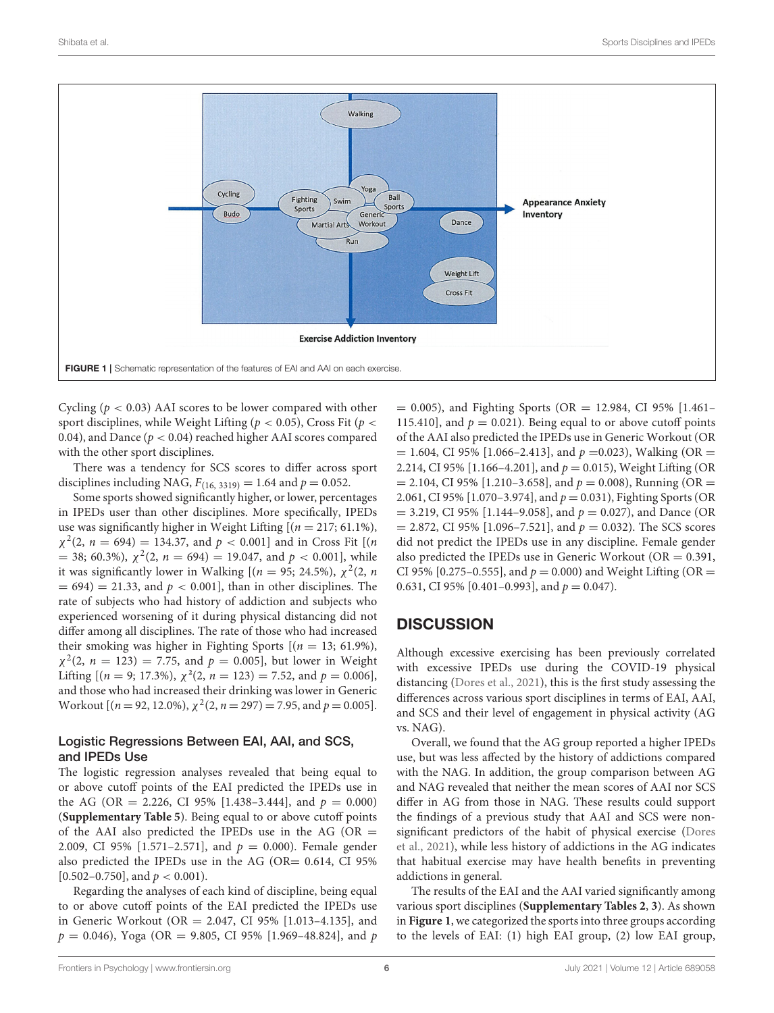

<span id="page-5-0"></span>Cycling ( $p < 0.03$ ) AAI scores to be lower compared with other sport disciplines, while Weight Lifting ( $p < 0.05$ ), Cross Fit ( $p <$ 0.04), and Dance ( $p < 0.04$ ) reached higher AAI scores compared with the other sport disciplines.

There was a tendency for SCS scores to differ across sport disciplines including NAG,  $F_{(16, 3319)} = 1.64$  and  $p = 0.052$ .

Some sports showed significantly higher, or lower, percentages in IPEDs user than other disciplines. More specifically, IPEDs use was significantly higher in Weight Lifting  $[(n = 217, 61.1\%)]$ ,  $\chi^2(2, n = 694) = 134.37$ , and  $p < 0.001$ ] and in Cross Fit [(*n* = 38; 60.3%),  $\chi^2(2, n = 694) = 19.047$ , and  $p < 0.001$ , while it was significantly lower in Walking [ $(n = 95; 24.5\%)$ ,  $\chi^2(2, n)$  $= 694$ )  $= 21.33$ , and  $p < 0.001$ , than in other disciplines. The rate of subjects who had history of addiction and subjects who experienced worsening of it during physical distancing did not differ among all disciplines. The rate of those who had increased their smoking was higher in Fighting Sports  $[(n = 13, 61.9\%)]$ ,  $\chi^2(2, n = 123) = 7.75$ , and  $p = 0.005$ , but lower in Weight Lifting  $[(n = 9; 17.3\%), \chi^2(2, n = 123) = 7.52, \text{ and } p = 0.006]$ , and those who had increased their drinking was lower in Generic Workout [( $n = 92, 12.0\%$ ),  $\chi^2(2, n = 297) = 7.95$ , and  $p = 0.005$ ].

#### Logistic Regressions Between EAI, AAI, and SCS, and IPEDs Use

The logistic regression analyses revealed that being equal to or above cutoff points of the EAI predicted the IPEDs use in the AG (OR = 2.226, CI 95% [1.438-3.444], and  $p = 0.000$ ) (**[Supplementary Table 5](#page-7-13)**). Being equal to or above cutoff points of the AAI also predicted the IPEDs use in the AG (OR  $=$ 2.009, CI 95% [1.571-2.571], and  $p = 0.000$ ). Female gender also predicted the IPEDs use in the AG (OR= 0.614, CI 95%  $[0.502-0.750]$ , and  $p < 0.001$ ).

Regarding the analyses of each kind of discipline, being equal to or above cutoff points of the EAI predicted the IPEDs use in Generic Workout (OR = 2.047, CI 95% [1.013–4.135], and  $p = 0.046$ , Yoga (OR = 9.805, CI 95% [1.969-48.824], and p  $= 0.005$ ), and Fighting Sports (OR  $= 12.984$ , CI 95% [1.461– 115.410], and  $p = 0.021$ ). Being equal to or above cutoff points of the AAI also predicted the IPEDs use in Generic Workout (OR  $= 1.604$ , CI 95% [1.066–2.413], and  $p = 0.023$ ), Walking (OR  $=$ 2.214, CI 95% [1.166–4.201], and  $p = 0.015$ ), Weight Lifting (OR  $= 2.104$ , CI 95% [1.210–3.658], and  $p = 0.008$ ), Running (OR  $=$ 2.061, CI 95% [1.070–3.974], and  $p = 0.031$ ), Fighting Sports (OR  $= 3.219$ , CI 95% [1.144–9.058], and  $p = 0.027$ ), and Dance (OR  $= 2.872$ , CI 95% [1.096–7.521], and  $p = 0.032$ ). The SCS scores did not predict the IPEDs use in any discipline. Female gender also predicted the IPEDs use in Generic Workout ( $OR = 0.391$ , CI 95% [0.275–0.555], and  $p = 0.000$ ) and Weight Lifting (OR = 0.631, CI 95% [0.401–0.993], and  $p = 0.047$ ).

# **DISCUSSION**

Although excessive exercising has been previously correlated with excessive IPEDs use during the COVID-19 physical distancing [\(Dores et al., 2021\)](#page-8-24), this is the first study assessing the differences across various sport disciplines in terms of EAI, AAI, and SCS and their level of engagement in physical activity (AG vs. NAG).

Overall, we found that the AG group reported a higher IPEDs use, but was less affected by the history of addictions compared with the NAG. In addition, the group comparison between AG and NAG revealed that neither the mean scores of AAI nor SCS differ in AG from those in NAG. These results could support the findings of a previous study that AAI and SCS were nonsignificant predictors of the habit of physical exercise (Dores et al., [2021\)](#page-8-24), while less history of addictions in the AG indicates that habitual exercise may have health benefits in preventing addictions in general.

The results of the EAI and the AAI varied significantly among various sport disciplines (**[Supplementary Tables 2](#page-7-13)**, **[3](#page-7-13)**). As shown in **[Figure 1](#page-5-0)**, we categorized the sports into three groups according to the levels of EAI: (1) high EAI group, (2) low EAI group,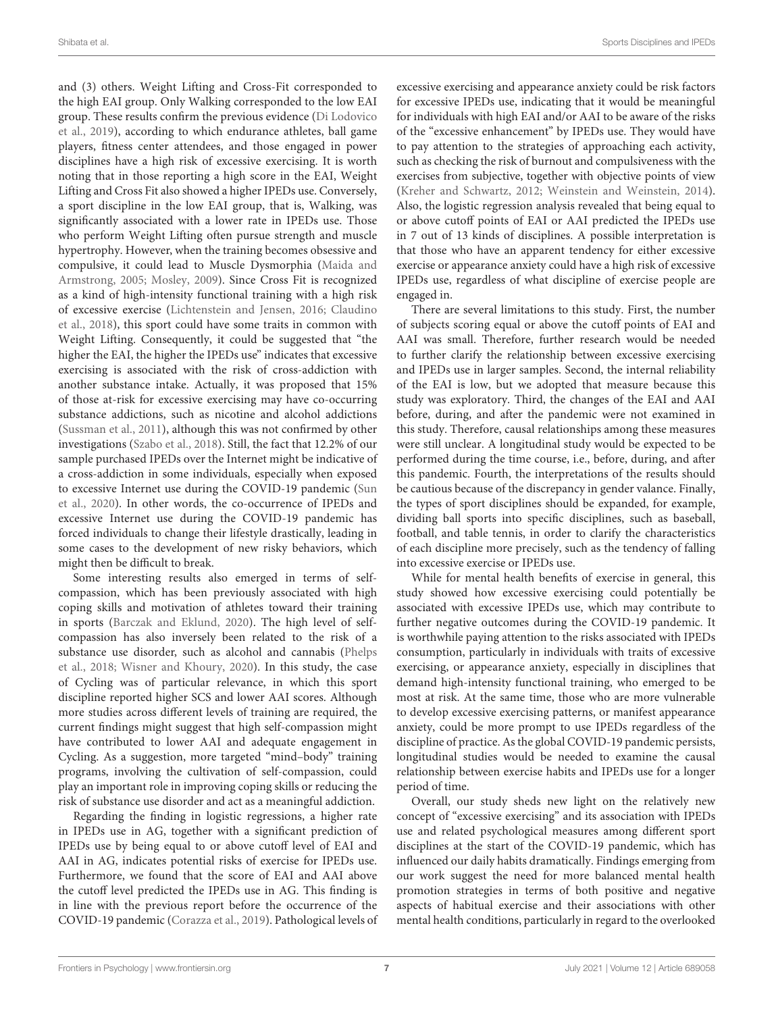and (3) others. Weight Lifting and Cross-Fit corresponded to the high EAI group. Only Walking corresponded to the low EAI group. These results confirm the previous evidence (Di Lodovico et al., [2019\)](#page-7-11), according to which endurance athletes, ball game players, fitness center attendees, and those engaged in power disciplines have a high risk of excessive exercising. It is worth noting that in those reporting a high score in the EAI, Weight Lifting and Cross Fit also showed a higher IPEDs use. Conversely, a sport discipline in the low EAI group, that is, Walking, was significantly associated with a lower rate in IPEDs use. Those who perform Weight Lifting often pursue strength and muscle hypertrophy. However, when the training becomes obsessive and compulsive, it could lead to Muscle Dysmorphia (Maida and Armstrong, [2005;](#page-8-34) [Mosley, 2009\)](#page-8-35). Since Cross Fit is recognized as a kind of high-intensity functional training with a high risk of excessive exercise [\(Lichtenstein and Jensen, 2016;](#page-8-36) Claudino et al., [2018\)](#page-7-14), this sport could have some traits in common with Weight Lifting. Consequently, it could be suggested that "the higher the EAI, the higher the IPEDs use" indicates that excessive exercising is associated with the risk of cross-addiction with another substance intake. Actually, it was proposed that 15% of those at-risk for excessive exercising may have co-occurring substance addictions, such as nicotine and alcohol addictions [\(Sussman et al., 2011\)](#page-8-37), although this was not confirmed by other investigations [\(Szabo et al., 2018\)](#page-8-38). Still, the fact that 12.2% of our sample purchased IPEDs over the Internet might be indicative of a cross-addiction in some individuals, especially when exposed to excessive Internet use during the COVID-19 pandemic (Sun et al., [2020\)](#page-8-23). In other words, the co-occurrence of IPEDs and excessive Internet use during the COVID-19 pandemic has forced individuals to change their lifestyle drastically, leading in some cases to the development of new risky behaviors, which might then be difficult to break.

Some interesting results also emerged in terms of selfcompassion, which has been previously associated with high coping skills and motivation of athletes toward their training in sports [\(Barczak and Eklund, 2020\)](#page-7-12). The high level of selfcompassion has also inversely been related to the risk of a substance use disorder, such as alcohol and cannabis (Phelps et al., [2018;](#page-8-39) [Wisner and Khoury, 2020\)](#page-9-1). In this study, the case of Cycling was of particular relevance, in which this sport discipline reported higher SCS and lower AAI scores. Although more studies across different levels of training are required, the current findings might suggest that high self-compassion might have contributed to lower AAI and adequate engagement in Cycling. As a suggestion, more targeted "mind–body" training programs, involving the cultivation of self-compassion, could play an important role in improving coping skills or reducing the risk of substance use disorder and act as a meaningful addiction.

Regarding the finding in logistic regressions, a higher rate in IPEDs use in AG, together with a significant prediction of IPEDs use by being equal to or above cutoff level of EAI and AAI in AG, indicates potential risks of exercise for IPEDs use. Furthermore, we found that the score of EAI and AAI above the cutoff level predicted the IPEDs use in AG. This finding is in line with the previous report before the occurrence of the COVID-19 pandemic [\(Corazza et al., 2019\)](#page-7-7). Pathological levels of excessive exercising and appearance anxiety could be risk factors for excessive IPEDs use, indicating that it would be meaningful for individuals with high EAI and/or AAI to be aware of the risks of the "excessive enhancement" by IPEDs use. They would have to pay attention to the strategies of approaching each activity, such as checking the risk of burnout and compulsiveness with the exercises from subjective, together with objective points of view [\(Kreher and Schwartz, 2012;](#page-8-9) [Weinstein and Weinstein, 2014\)](#page-9-2). Also, the logistic regression analysis revealed that being equal to or above cutoff points of EAI or AAI predicted the IPEDs use in 7 out of 13 kinds of disciplines. A possible interpretation is that those who have an apparent tendency for either excessive exercise or appearance anxiety could have a high risk of excessive IPEDs use, regardless of what discipline of exercise people are engaged in.

There are several limitations to this study. First, the number of subjects scoring equal or above the cutoff points of EAI and AAI was small. Therefore, further research would be needed to further clarify the relationship between excessive exercising and IPEDs use in larger samples. Second, the internal reliability of the EAI is low, but we adopted that measure because this study was exploratory. Third, the changes of the EAI and AAI before, during, and after the pandemic were not examined in this study. Therefore, causal relationships among these measures were still unclear. A longitudinal study would be expected to be performed during the time course, i.e., before, during, and after this pandemic. Fourth, the interpretations of the results should be cautious because of the discrepancy in gender valance. Finally, the types of sport disciplines should be expanded, for example, dividing ball sports into specific disciplines, such as baseball, football, and table tennis, in order to clarify the characteristics of each discipline more precisely, such as the tendency of falling into excessive exercise or IPEDs use.

While for mental health benefits of exercise in general, this study showed how excessive exercising could potentially be associated with excessive IPEDs use, which may contribute to further negative outcomes during the COVID-19 pandemic. It is worthwhile paying attention to the risks associated with IPEDs consumption, particularly in individuals with traits of excessive exercising, or appearance anxiety, especially in disciplines that demand high-intensity functional training, who emerged to be most at risk. At the same time, those who are more vulnerable to develop excessive exercising patterns, or manifest appearance anxiety, could be more prompt to use IPEDs regardless of the discipline of practice. As the global COVID-19 pandemic persists, longitudinal studies would be needed to examine the causal relationship between exercise habits and IPEDs use for a longer period of time.

Overall, our study sheds new light on the relatively new concept of "excessive exercising" and its association with IPEDs use and related psychological measures among different sport disciplines at the start of the COVID-19 pandemic, which has influenced our daily habits dramatically. Findings emerging from our work suggest the need for more balanced mental health promotion strategies in terms of both positive and negative aspects of habitual exercise and their associations with other mental health conditions, particularly in regard to the overlooked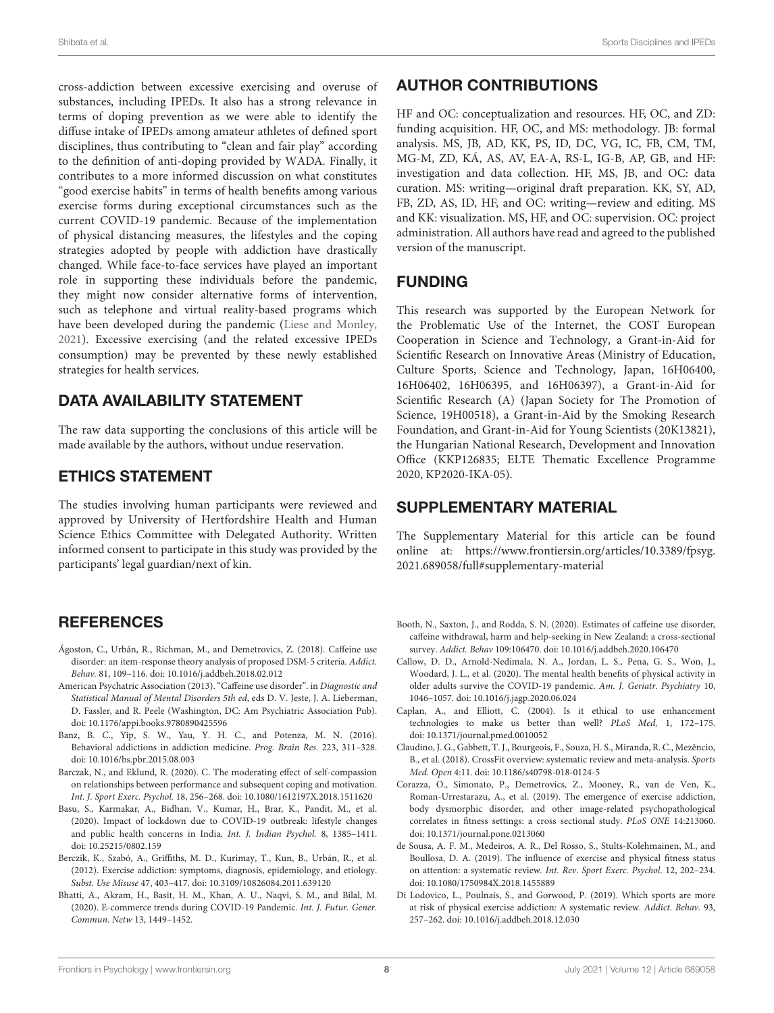cross-addiction between excessive exercising and overuse of substances, including IPEDs. It also has a strong relevance in terms of doping prevention as we were able to identify the diffuse intake of IPEDs among amateur athletes of defined sport disciplines, thus contributing to "clean and fair play" according to the definition of anti-doping provided by WADA. Finally, it contributes to a more informed discussion on what constitutes "good exercise habits" in terms of health benefits among various exercise forms during exceptional circumstances such as the current COVID-19 pandemic. Because of the implementation of physical distancing measures, the lifestyles and the coping strategies adopted by people with addiction have drastically changed. While face-to-face services have played an important role in supporting these individuals before the pandemic, they might now consider alternative forms of intervention, such as telephone and virtual reality-based programs which have been developed during the pandemic [\(Liese and Monley,](#page-8-40) [2021\)](#page-8-40). Excessive exercising (and the related excessive IPEDs consumption) may be prevented by these newly established strategies for health services.

# DATA AVAILABILITY STATEMENT

The raw data supporting the conclusions of this article will be made available by the authors, without undue reservation.

## ETHICS STATEMENT

The studies involving human participants were reviewed and approved by University of Hertfordshire Health and Human Science Ethics Committee with Delegated Authority. Written informed consent to participate in this study was provided by the participants' legal guardian/next of kin.

# **REFERENCES**

- <span id="page-7-9"></span>Ágoston, C., Urbán, R., Richman, M., and Demetrovics, Z. (2018). Caffeine use disorder: an item-response theory analysis of proposed DSM-5 criteria. Addict. Behav. 81, 109–116. doi: [10.1016/j.addbeh.2018.02.012](https://doi.org/10.1016/j.addbeh.2018.02.012)
- <span id="page-7-4"></span>American Psychatric Association (2013). "Caffeine use disorder". in Diagnostic and Statistical Manual of Mental Disorders 5th ed, eds D. V. Jeste, J. A. Lieberman, D. Fassler, and R. Peele (Washington, DC: Am Psychiatric Association Pub). doi: [10.1176/appi.books.9780890425596](https://doi.org/10.1176/appi.books.9780890425596)
- <span id="page-7-5"></span>Banz, B. C., Yip, S. W., Yau, Y. H. C., and Potenza, M. N. (2016). Behavioral addictions in addiction medicine. Prog. Brain Res. 223, 311–328. doi: [10.1016/bs.pbr.2015.08.003](https://doi.org/10.1016/bs.pbr.2015.08.003)
- <span id="page-7-12"></span>Barczak, N., and Eklund, R. (2020). C. The moderating effect of self-compassion on relationships between performance and subsequent coping and motivation. Int. J. Sport Exerc. Psychol. 18, 256–268. doi: [10.1080/1612197X.2018.1511620](https://doi.org/10.1080/1612197X.2018.1511620)
- <span id="page-7-0"></span>Basu, S., Karmakar, A., Bidhan, V., Kumar, H., Brar, K., Pandit, M., et al. (2020). Impact of lockdown due to COVID-19 outbreak: lifestyle changes and public health concerns in India. Int. J. Indian Psychol. 8, 1385–1411. doi: [10.25215/0802.159](https://doi.org/10.25215/0802.159)
- <span id="page-7-3"></span>Berczik, K., Szabó, A., Griffiths, M. D., Kurimay, T., Kun, B., Urbán, R., et al. (2012). Exercise addiction: symptoms, diagnosis, epidemiology, and etiology. Subst. Use Misuse 47, 403–417. doi: [10.3109/10826084.2011.639120](https://doi.org/10.3109/10826084.2011.639120)
- <span id="page-7-10"></span>Bhatti, A., Akram, H., Basit, H. M., Khan, A. U., Naqvi, S. M., and Bilal, M. (2020). E-commerce trends during COVID-19 Pandemic. Int. J. Futur. Gener. Commun. Netw 13, 1449–1452.

# AUTHOR CONTRIBUTIONS

HF and OC: conceptualization and resources. HF, OC, and ZD: funding acquisition. HF, OC, and MS: methodology. JB: formal analysis. MS, JB, AD, KK, PS, ID, DC, VG, IC, FB, CM, TM, MG-M, ZD, KÁ, AS, AV, EA-A, RS-L, IG-B, AP, GB, and HF: investigation and data collection. HF, MS, JB, and OC: data curation. MS: writing—original draft preparation. KK, SY, AD, FB, ZD, AS, ID, HF, and OC: writing—review and editing. MS and KK: visualization. MS, HF, and OC: supervision. OC: project administration. All authors have read and agreed to the published version of the manuscript.

## FUNDING

This research was supported by the European Network for the Problematic Use of the Internet, the COST European Cooperation in Science and Technology, a Grant-in-Aid for Scientific Research on Innovative Areas (Ministry of Education, Culture Sports, Science and Technology, Japan, 16H06400, 16H06402, 16H06395, and 16H06397), a Grant-in-Aid for Scientific Research (A) (Japan Society for The Promotion of Science, 19H00518), a Grant-in-Aid by the Smoking Research Foundation, and Grant-in-Aid for Young Scientists (20K13821), the Hungarian National Research, Development and Innovation Office (KKP126835; ELTE Thematic Excellence Programme 2020, KP2020-IKA-05).

# SUPPLEMENTARY MATERIAL

<span id="page-7-13"></span>The Supplementary Material for this article can be found [online at: https://www.frontiersin.org/articles/10.3389/fpsyg.](https://www.frontiersin.org/articles/10.3389/fpsyg.2021.689058/full#supplementary-material) 2021.689058/full#supplementary-material

- <span id="page-7-8"></span>Booth, N., Saxton, J., and Rodda, S. N. (2020). Estimates of caffeine use disorder, caffeine withdrawal, harm and help-seeking in New Zealand: a cross-sectional survey. Addict. Behav 109:106470. doi: [10.1016/j.addbeh.2020.106470](https://doi.org/10.1016/j.addbeh.2020.106470)
- <span id="page-7-1"></span>Callow, D. D., Arnold-Nedimala, N. A., Jordan, L. S., Pena, G. S., Won, J., Woodard, J. L., et al. (2020). The mental health benefits of physical activity in older adults survive the COVID-19 pandemic. Am. J. Geriatr. Psychiatry 10, 1046–1057. doi: [10.1016/j.jagp.2020.06.024](https://doi.org/10.1016/j.jagp.2020.06.024)
- <span id="page-7-6"></span>Caplan, A., and Elliott, C. (2004). Is it ethical to use enhancement technologies to make us better than well? PLoS Med, 1, 172–175. doi: [10.1371/journal.pmed.0010052](https://doi.org/10.1371/journal.pmed.0010052)
- <span id="page-7-14"></span>Claudino, J. G., Gabbett, T. J., Bourgeois, F., Souza, H. S., Miranda, R. C., Mezêncio, B., et al. (2018). CrossFit overview: systematic review and meta-analysis. Sports Med. Open 4:11. doi: [10.1186/s40798-018-0124-5](https://doi.org/10.1186/s40798-018-0124-5)
- <span id="page-7-7"></span>Corazza, O., Simonato, P., Demetrovics, Z., Mooney, R., van de Ven, K., Roman-Urrestarazu, A., et al. (2019). The emergence of exercise addiction, body dysmorphic disorder, and other image-related psychopathological correlates in fitness settings: a cross sectional study. PLoS ONE 14:213060. doi: [10.1371/journal.pone.0213060](https://doi.org/10.1371/journal.pone.0213060)
- <span id="page-7-2"></span>de Sousa, A. F. M., Medeiros, A. R., Del Rosso, S., Stults-Kolehmainen, M., and Boullosa, D. A. (2019). The influence of exercise and physical fitness status on attention: a systematic review. Int. Rev. Sport Exerc. Psychol. 12, 202–234. doi: [10.1080/1750984X.2018.1455889](https://doi.org/10.1080/1750984X.2018.1455889)
- <span id="page-7-11"></span>Di Lodovico, L., Poulnais, S., and Gorwood, P. (2019). Which sports are more at risk of physical exercise addiction: A systematic review. Addict. Behav. 93, 257–262. doi: [10.1016/j.addbeh.2018.12.030](https://doi.org/10.1016/j.addbeh.2018.12.030)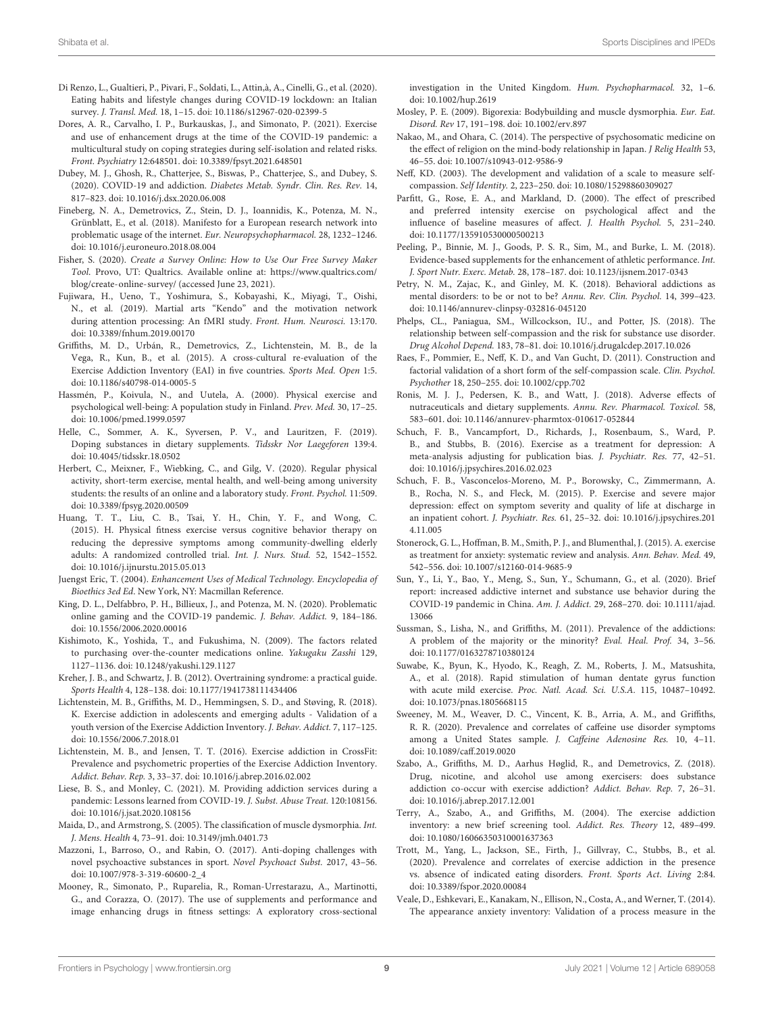- <span id="page-8-0"></span>Di Renzo, L., Gualtieri, P., Pivari, F., Soldati, L., Attin,à, A., Cinelli, G., et al. (2020). Eating habits and lifestyle changes during COVID-19 lockdown: an Italian survey. J. Transl. Med. 18, 1–15. doi: [10.1186/s12967-020-02399-5](https://doi.org/10.1186/s12967-020-02399-5)
- <span id="page-8-24"></span>Dores, A. R., Carvalho, I. P., Burkauskas, J., and Simonato, P. (2021). Exercise and use of enhancement drugs at the time of the COVID-19 pandemic: a multicultural study on coping strategies during self-isolation and related risks. Front. Psychiatry 12:648501. doi: [10.3389/fpsyt.2021.648501](https://doi.org/10.3389/fpsyt.2021.648501)
- <span id="page-8-21"></span>Dubey, M. J., Ghosh, R., Chatterjee, S., Biswas, P., Chatterjee, S., and Dubey, S. (2020). COVID-19 and addiction. Diabetes Metab. Syndr. Clin. Res. Rev. 14, 817–823. doi: [10.1016/j.dsx.2020.06.008](https://doi.org/10.1016/j.dsx.2020.06.008)
- <span id="page-8-10"></span>Fineberg, N. A., Demetrovics, Z., Stein, D. J., Ioannidis, K., Potenza, M. N., Grünblatt, E., et al. (2018). Manifesto for a European research network into problematic usage of the internet. Eur. Neuropsychopharmacol. 28, 1232-1246. doi: [10.1016/j.euroneuro.2018.08.004](https://doi.org/10.1016/j.euroneuro.2018.08.004)
- <span id="page-8-33"></span>Fisher, S. (2020). Create a Survey Online: How to Use Our Free Survey Maker Tool. Provo, UT: Qualtrics. Available online at: [https://www.qualtrics.com/](https://www.qualtrics.com/blog/create-online-survey/) [blog/create-online-survey/](https://www.qualtrics.com/blog/create-online-survey/) (accessed June 23, 2021).
- <span id="page-8-28"></span>Fujiwara, H., Ueno, T., Yoshimura, S., Kobayashi, K., Miyagi, T., Oishi, N., et al. (2019). Martial arts "Kendo" and the motivation network during attention processing: An fMRI study. Front. Hum. Neurosci. 13:170. doi: [10.3389/fnhum.2019.00170](https://doi.org/10.3389/fnhum.2019.00170)
- <span id="page-8-30"></span>Griffiths, M. D., Urbán, R., Demetrovics, Z., Lichtenstein, M. B., de la Vega, R., Kun, B., et al. (2015). A cross-cultural re-evaluation of the Exercise Addiction Inventory (EAI) in five countries. Sports Med. Open 1:5. doi: [10.1186/s40798-014-0005-5](https://doi.org/10.1186/s40798-014-0005-5)
- <span id="page-8-5"></span>Hassmén, P., Koivula, N., and Uutela, A. (2000). Physical exercise and psychological well-being: A population study in Finland. Prev. Med. 30, 17–25. doi: [10.1006/pmed.1999.0597](https://doi.org/10.1006/pmed.1999.0597)
- <span id="page-8-19"></span>Helle, C., Sommer, A. K., Syversen, P. V., and Lauritzen, F. (2019). Doping substances in dietary supplements. Tidsskr Nor Laegeforen 139:4. doi: [10.4045/tidsskr.18.0502](https://doi.org/10.4045/tidsskr.18.0502)
- <span id="page-8-4"></span>Herbert, C., Meixner, F., Wiebking, C., and Gilg, V. (2020). Regular physical activity, short-term exercise, mental health, and well-being among university students: the results of an online and a laboratory study. Front. Psychol. 11:509. doi: [10.3389/fpsyg.2020.00509](https://doi.org/10.3389/fpsyg.2020.00509)
- <span id="page-8-1"></span>Huang, T. T., Liu, C. B., Tsai, Y. H., Chin, Y. F., and Wong, C. (2015). H. Physical fitness exercise versus cognitive behavior therapy on reducing the depressive symptoms among community-dwelling elderly adults: A randomized controlled trial. Int. J. Nurs. Stud. 52, 1542–1552. doi: [10.1016/j.ijnurstu.2015.05.013](https://doi.org/10.1016/j.ijnurstu.2015.05.013)
- <span id="page-8-14"></span>Juengst Eric, T. (2004). Enhancement Uses of Medical Technology. Encyclopedia of Bioethics 3ed Ed. New York, NY: Macmillan Reference.
- <span id="page-8-22"></span>King, D. L., Delfabbro, P. H., Billieux, J., and Potenza, M. N. (2020). Problematic online gaming and the COVID-19 pandemic. J. Behav. Addict. 9, 184–186. doi: [10.1556/2006.2020.00016](https://doi.org/10.1556/2006.2020.00016)
- <span id="page-8-20"></span>Kishimoto, K., Yoshida, T., and Fukushima, N. (2009). The factors related to purchasing over-the-counter medications online. Yakugaku Zasshi 129, 1127–1136. doi: [10.1248/yakushi.129.1127](https://doi.org/10.1248/yakushi.129.1127)
- <span id="page-8-9"></span>Kreher, J. B., and Schwartz, J. B. (2012). Overtraining syndrome: a practical guide. Sports Health 4, 128–138. doi: [10.1177/1941738111434406](https://doi.org/10.1177/1941738111434406)
- <span id="page-8-11"></span>Lichtenstein, M. B., Griffiths, M. D., Hemmingsen, S. D., and Støving, R. (2018). K. Exercise addiction in adolescents and emerging adults - Validation of a youth version of the Exercise Addiction Inventory. J. Behav. Addict. 7, 117–125. doi: [10.1556/2006.7.2018.01](https://doi.org/10.1556/2006.7.2018.01)
- <span id="page-8-36"></span>Lichtenstein, M. B., and Jensen, T. T. (2016). Exercise addiction in CrossFit: Prevalence and psychometric properties of the Exercise Addiction Inventory. Addict. Behav. Rep. 3, 33–37. doi: [10.1016/j.abrep.2016.02.002](https://doi.org/10.1016/j.abrep.2016.02.002)
- <span id="page-8-40"></span>Liese, B. S., and Monley, C. (2021). M. Providing addiction services during a pandemic: Lessons learned from COVID-19. J. Subst. Abuse Treat. 120:108156. doi: [10.1016/j.jsat.2020.108156](https://doi.org/10.1016/j.jsat.2020.108156)
- <span id="page-8-34"></span>Maida, D., and Armstrong, S. (2005). The classification of muscle dysmorphia. Int. J. Mens. Health 4, 73–91. doi: [10.3149/jmh.0401.73](https://doi.org/10.3149/jmh.0401.73)
- <span id="page-8-18"></span>Mazzoni, I., Barroso, O., and Rabin, O. (2017). Anti-doping challenges with novel psychoactive substances in sport. Novel Psychoact Subst. 2017, 43–56. doi: [10.1007/978-3-319-60600-2\\_4](https://doi.org/10.1007/978-3-319-60600-2_4)
- <span id="page-8-15"></span>Mooney, R., Simonato, P., Ruparelia, R., Roman-Urrestarazu, A., Martinotti, G., and Corazza, O. (2017). The use of supplements and performance and image enhancing drugs in fitness settings: A exploratory cross-sectional

investigation in the United Kingdom. Hum. Psychopharmacol. 32, 1–6. doi: [10.1002/hup.2619](https://doi.org/10.1002/hup.2619)

- <span id="page-8-35"></span>Mosley, P. E. (2009). Bigorexia: Bodybuilding and muscle dysmorphia. Eur. Eat. Disord. Rev 17, 191–198. doi: [10.1002/erv.897](https://doi.org/10.1002/erv.897)
- <span id="page-8-27"></span>Nakao, M., and Ohara, C. (2014). The perspective of psychosomatic medicine on the effect of religion on the mind-body relationship in Japan. J Relig Health 53, 46–55. doi: [10.1007/s10943-012-9586-9](https://doi.org/10.1007/s10943-012-9586-9)
- <span id="page-8-26"></span>Neff, KD. (2003). The development and validation of a scale to measure selfcompassion. Self Identity. 2, 223–250. doi: [10.1080/15298860309027](https://doi.org/10.1080/15298860309027)
- <span id="page-8-7"></span>Parfitt, G., Rose, E. A., and Markland, D. (2000). The effect of prescribed and preferred intensity exercise on psychological affect and the influence of baseline measures of affect. J. Health Psychol. 5, 231–240. doi: [10.1177/135910530000500213](https://doi.org/10.1177/135910530000500213)
- <span id="page-8-13"></span>Peeling, P., Binnie, M. J., Goods, P. S. R., Sim, M., and Burke, L. M. (2018). Evidence-based supplements for the enhancement of athletic performance. Int. J. Sport Nutr. Exerc. Metab. 28, 178–187. doi: [10.1123/ijsnem.2017-0343](https://doi.org/10.1123/ijsnem.2017-0343)
- <span id="page-8-12"></span>Petry, N. M., Zajac, K., and Ginley, M. K. (2018). Behavioral addictions as mental disorders: to be or not to be? Annu. Rev. Clin. Psychol. 14, 399–423. doi: [10.1146/annurev-clinpsy-032816-045120](https://doi.org/10.1146/annurev-clinpsy-032816-045120)
- <span id="page-8-39"></span>Phelps, CL., Paniagua, SM., Willcockson, IU., and Potter, JS. (2018). The relationship between self-compassion and the risk for substance use disorder. Drug Alcohol Depend. 183, 78–81. doi: [10.1016/j.drugalcdep.2017.10.026](https://doi.org/10.1016/j.drugalcdep.2017.10.026)
- <span id="page-8-32"></span>Raes, F., Pommier, E., Neff, K. D., and Van Gucht, D. (2011). Construction and factorial validation of a short form of the self-compassion scale. Clin. Psychol. Psychother 18, 250–255. doi: [10.1002/cpp.702](https://doi.org/10.1002/cpp.702)
- <span id="page-8-16"></span>Ronis, M. J. J., Pedersen, K. B., and Watt, J. (2018). Adverse effects of nutraceuticals and dietary supplements. Annu. Rev. Pharmacol. Toxicol. 58, 583–601. doi: [10.1146/annurev-pharmtox-010617-052844](https://doi.org/10.1146/annurev-pharmtox-010617-052844)
- <span id="page-8-6"></span>Schuch, F. B., Vancampfort, D., Richards, J., Rosenbaum, S., Ward, P. B., and Stubbs, B. (2016). Exercise as a treatment for depression: A meta-analysis adjusting for publication bias. J. Psychiatr. Res. 77, 42–51. doi: [10.1016/j.jpsychires.2016.02.023](https://doi.org/10.1016/j.jpsychires.2016.02.023)
- <span id="page-8-2"></span>Schuch, F. B., Vasconcelos-Moreno, M. P., Borowsky, C., Zimmermann, A. B., Rocha, N. S., and Fleck, M. (2015). P. Exercise and severe major depression: effect on symptom severity and quality of life at discharge in an inpatient cohort. J. Psychiatr. Res. [61, 25–32. doi: 10.1016/j.jpsychires.201](https://doi.org/10.1016/j.jpsychires.2014.11.005) 4.11.005
- <span id="page-8-3"></span>Stonerock, G. L., Hoffman, B. M., Smith, P. J., and Blumenthal, J. (2015). A. exercise as treatment for anxiety: systematic review and analysis. Ann. Behav. Med. 49, 542–556. doi: [10.1007/s12160-014-9685-9](https://doi.org/10.1007/s12160-014-9685-9)
- <span id="page-8-23"></span>Sun, Y., Li, Y., Bao, Y., Meng, S., Sun, Y., Schumann, G., et al. (2020). Brief report: increased addictive internet and substance use behavior during the [COVID-19 pandemic in China.](https://doi.org/10.1111/ajad.13066) Am. J. Addict. 29, 268–270. doi: 10.1111/ajad. 13066
- <span id="page-8-37"></span>Sussman, S., Lisha, N., and Griffiths, M. (2011). Prevalence of the addictions: A problem of the majority or the minority? Eval. Heal. Prof. 34, 3–56. doi: [10.1177/0163278710380124](https://doi.org/10.1177/0163278710380124)
- <span id="page-8-8"></span>Suwabe, K., Byun, K., Hyodo, K., Reagh, Z. M., Roberts, J. M., Matsushita, A., et al. (2018). Rapid stimulation of human dentate gyrus function with acute mild exercise. Proc. Natl. Acad. Sci. U.S.A. 115, 10487–10492. doi: [10.1073/pnas.1805668115](https://doi.org/10.1073/pnas.1805668115)
- <span id="page-8-17"></span>Sweeney, M. M., Weaver, D. C., Vincent, K. B., Arria, A. M., and Griffiths, R. R. (2020). Prevalence and correlates of caffeine use disorder symptoms among a United States sample. J. Caffeine Adenosine Res. 10, 4–11. doi: [10.1089/caff.2019.0020](https://doi.org/10.1089/caff.2019.0020)
- <span id="page-8-38"></span>Szabo, A., Griffiths, M. D., Aarhus Høglid, R., and Demetrovics, Z. (2018). Drug, nicotine, and alcohol use among exercisers: does substance addiction co-occur with exercise addiction? Addict. Behav. Rep. 7, 26–31. doi: [10.1016/j.abrep.2017.12.001](https://doi.org/10.1016/j.abrep.2017.12.001)
- <span id="page-8-29"></span>Terry, A., Szabo, A., and Griffiths, M. (2004). The exercise addiction inventory: a new brief screening tool. Addict. Res. Theory 12, 489–499. doi: [10.1080/16066350310001637363](https://doi.org/10.1080/16066350310001637363)
- <span id="page-8-25"></span>Trott, M., Yang, L., Jackson, SE., Firth, J., Gillvray, C., Stubbs, B., et al. (2020). Prevalence and correlates of exercise addiction in the presence vs. absence of indicated eating disorders. Front. Sports Act. Living 2:84. doi: [10.3389/fspor.2020.00084](https://doi.org/10.3389/fspor.2020.00084)
- <span id="page-8-31"></span>Veale, D., Eshkevari, E., Kanakam, N., Ellison, N., Costa, A., and Werner, T. (2014). The appearance anxiety inventory: Validation of a process measure in the